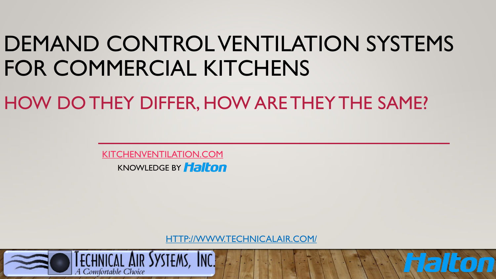# DEMAND CONTROL VENTILATION SYSTEMS FOR COMMERCIAL KITCHENS

HOW DO THEY DIFFER, HOW ARE THEY THE SAME?

[KITCHENVENTILATION.COM](https://kitchenventilation.com/)  **KNOWLEDGE BY Halton** 

[HTTP://WWW.TECHNICALAIR.COM/](http://www.technicalair.com/)

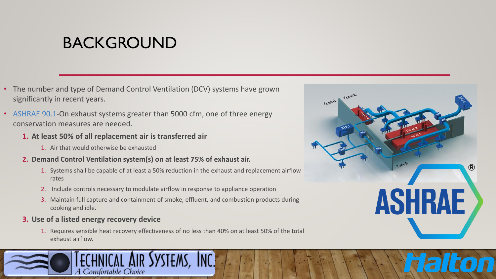# BACKGROUND

- The number and type of Demand Control Ventilation (DCV) systems have grown significantly in recent years.
- ASHRAE 90.1-On exhaust systems greater than 5000 cfm, one of three energy conservation measures are needed.
	- **1. At least 50% of all replacement air is transferred air** 
		- 1. Air that would otherwise be exhausted
	- **2. Demand Control Ventilation system(s) on at least 75% of exhaust air.** 
		- 1. Systems shall be capable of at least a 50% reduction in the exhaust and replacement airflow rates
		- 2. Include controls necessary to modulate airflow in response to appliance operation
		- 3. Maintain full capture and containment of smoke, effluent, and combustion products during cooking and idle.

#### **3. Use of a listed energy recovery device**

1. Requires sensible heat recovery effectiveness of no less than 40% on at least 50% of the total exhaust airflow.



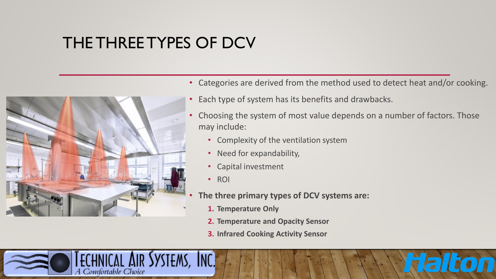# THE THREE TYPES OF DCV



A Comfortable Choice

- Categories are derived from the method used to detect heat and/or cooking.
- Each type of system has its benefits and drawbacks.
- Choosing the system of most value depends on a number of factors. Those may include:
	- Complexity of the ventilation system
	- Need for expandability,
	- Capital investment
	- ROI

YSTEMS, INC.

- **The three primary types of DCV systems are:**
	- **1. Temperature Only**
	- **2. Temperature and Opacity Sensor**
	- **3. Infrared Cooking Activity Sensor**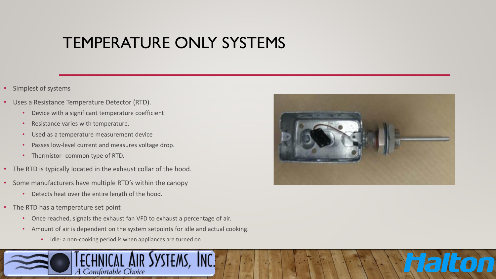# TEMPERATURE ONLY SYSTEMS

- Simplest of systems
- Uses a Resistance Temperature Detector (RTD).
	- Device with a significant temperature coefficient
	- Resistance varies with temperature.
	- Used as a temperature measurement device
	- Passes low-level current and measures voltage drop.
	- Thermistor- common type of RTD.
- The RTD is typically located in the exhaust collar of the hood.
- Some manufacturers have multiple RTD's within the canopy
	- Detects heat over the entire length of the hood.
- The RTD has a temperature set point
	- Once reached, signals the exhaust fan VFD to exhaust a percentage of air.
	- Amount of air is dependent on the system setpoints for idle and actual cooking.
		- Idle- a non-cooking period is when appliances are turned on



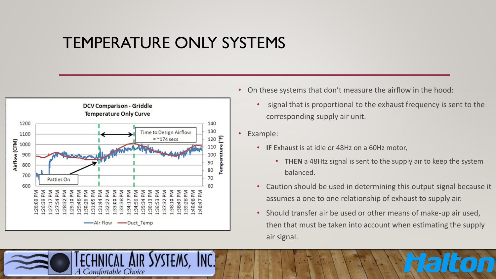#### TEMPERATURE ONLY SYSTEMS



A Comfortable Choice

- On these systems that don't measure the airflow in the hood:
	- signal that is proportional to the exhaust frequency is sent to the corresponding supply air unit.
- Example:
	- **IF** Exhaust is at idle or 48Hz on a 60Hz motor,
		- **THEN** a 48Htz signal is sent to the supply air to keep the system balanced.
	- Caution should be used in determining this output signal because it assumes a one to one relationship of exhaust to supply air.
	- Should transfer air be used or other means of make-up air used, then that must be taken into account when estimating the supply air signal.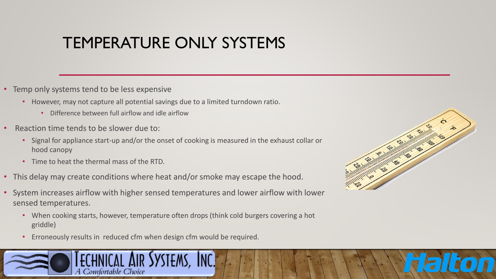# TEMPERATURE ONLY SYSTEMS

- Temp only systems tend to be less expensive
	- However, may not capture all potential savings due to a limited turndown ratio.
		- Difference between full airflow and idle airflow
- Reaction time tends to be slower due to:
	- Signal for appliance start-up and/or the onset of cooking is measured in the exhaust collar or hood canopy
	- Time to heat the thermal mass of the RTD.
- This delay may create conditions where heat and/or smoke may escape the hood.
- System increases airflow with higher sensed temperatures and lower airflow with lower sensed temperatures.
	- When cooking starts, however, temperature often drops (think cold burgers covering a hot griddle)
	- Erroneously results in reduced cfm when design cfm would be required.



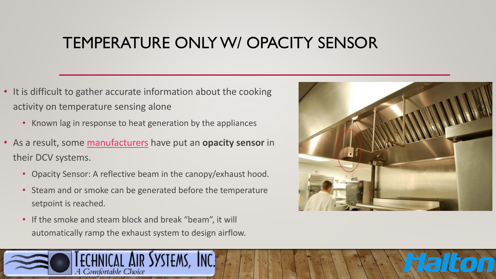# TEMPERATURE ONLY W/ OPACITY SENSOR

- It is difficult to gather accurate information about the cooking activity on temperature sensing alone
	- Known lag in response to heat generation by the appliances
- As a result, some [manufacturers](https://www.halton.com/en_US/foodservice) have put an **opacity sensor** in their DCV systems.
	- Opacity Sensor: A reflective beam in the canopy/exhaust hood.
	- Steam and or smoke can be generated before the temperature setpoint is reached.
	- If the smoke and steam block and break "beam", it will automatically ramp the exhaust system to design airflow.

A Comfortable Choice

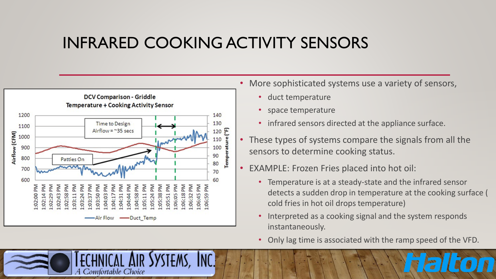#### INFRARED COOKING ACTIVITY SENSORS



Comfortable Choice

- More sophisticated systems use a variety of sensors,
	- duct temperature
	- space temperature
	- infrared sensors directed at the appliance surface.
- These types of systems compare the signals from all the sensors to determine cooking status.
- EXAMPLE: Frozen Fries placed into hot oil:
	- Temperature is at a steady-state and the infrared sensor detects a sudden drop in temperature at the cooking surface ( cold fries in hot oil drops temperature)
	- Interpreted as a cooking signal and the system responds instantaneously.
	- Only lag time is associated with the ramp speed of the VFD.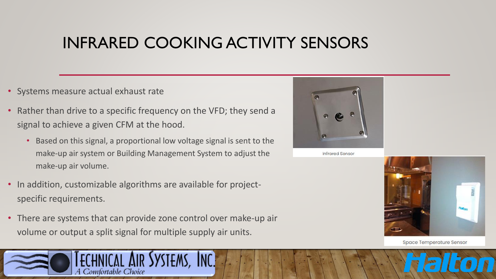# INFRARED COOKING ACTIVITY SENSORS

- Systems measure actual exhaust rate
- Rather than drive to a specific frequency on the VFD; they send a signal to achieve a given CFM at the hood.
	- Based on this signal, a proportional low voltage signal is sent to the make-up air system or Building Management System to adjust the make-up air volume.
- In addition, customizable algorithms are available for projectspecific requirements.

A Comfortable Choice

• There are systems that can provide zone control over make-up air volume or output a split signal for multiple supply air units.



**Infrared Sensor** 



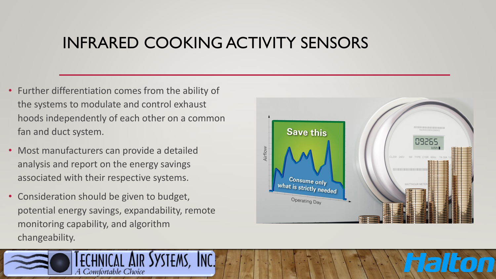## INFRARED COOKING ACTIVITY SENSORS

- Further differentiation comes from the ability of the systems to modulate and control exhaust hoods independently of each other on a common fan and duct system.
- Most manufacturers can provide a detailed analysis and report on the energy savings associated with their respective systems.
- Consideration should be given to budget, potential energy savings, expandability, remote monitoring capability, and algorithm changeability.